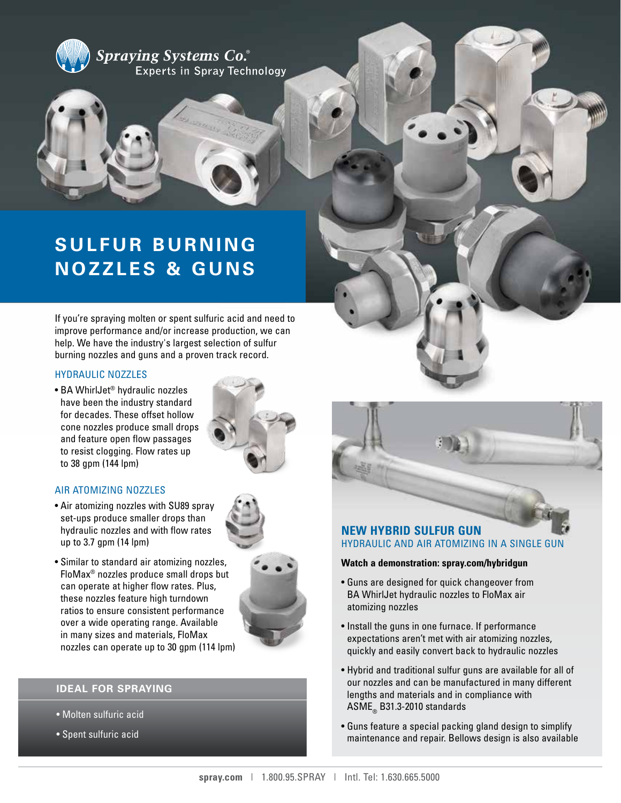



# **SULFUR BURNING NOZZLES & GUNS**

If you're spraying molten or spent sulfuric acid and need to improve performance and/or increase production, we can help. We have the industry's largest selection of sulfur burning nozzles and guns and a proven track record.

### HYDRAULIC NOZZLES

• BA WhirlJet® hydraulic nozzles have been the industry standard for decades. These offset hollow cone nozzles produce small drops and feature open flow passages to resist clogging. Flow rates up to 38 gpm (144 lpm)



## AIR ATOMIZING NOZZLES

• Air atomizing nozzles with SU89 spray set-ups produce smaller drops than hydraulic nozzles and with flow rates up to 3.7 gpm (14 lpm)



## **IDEAL FOR SPRAYING**

- Molten sulfuric acid
- Spent sulfuric acid



# HYDRAULIC AND AIR ATOMIZING IN A SINGLE GUN

#### **Watch a demonstration: spray.com/hybridgun**

- Guns are designed for quick changeover from BA WhirlJet hydraulic nozzles to FloMax air atomizing nozzles
- Install the guns in one furnace. If performance expectations aren't met with air atomizing nozzles, quickly and easily convert back to hydraulic nozzles
- Hybrid and traditional sulfur guns are available for all of our nozzles and can be manufactured in many different lengths and materials and in compliance with  $ASME_{\text{m}}$  B31.3-2010 standards
- Guns feature a special packing gland design to simplify maintenance and repair. Bellows design is also available